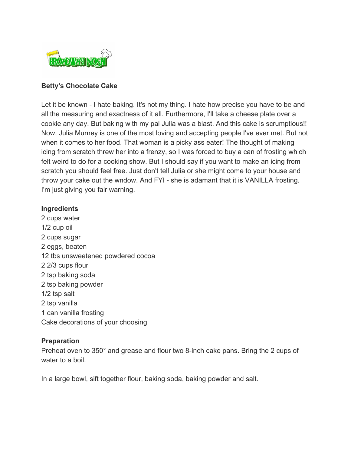

## **Betty's Chocolate Cake**

Let it be known - I hate baking. It's not my thing. I hate how precise you have to be and all the measuring and exactness of it all. Furthermore, I'll take a cheese plate over a cookie any day. But baking with my pal Julia was a blast. And this cake is scrumptious!! Now, Julia Murney is one of the most loving and accepting people I've ever met. But not when it comes to her food. That woman is a picky ass eater! The thought of making icing from scratch threw her into a frenzy, so I was forced to buy a can of frosting which felt weird to do for a cooking show. But I should say if you want to make an icing from scratch you should feel free. Just don't tell Julia or she might come to your house and throw your cake out the wndow. And FYI - she is adamant that it is VANILLA frosting. I'm just giving you fair warning.

## **Ingredients**

 cups water 1/2 cup oil cups sugar eggs, beaten tbs unsweetened powdered cocoa 2/3 cups flour tsp baking soda tsp baking powder 1/2 tsp salt tsp vanilla can vanilla frosting Cake decorations of your choosing

## **Preparation**

Preheat oven to 350° and grease and flour two 8-inch cake pans. Bring the 2 cups of water to a boil.

In a large bowl, sift together flour, baking soda, baking powder and salt.